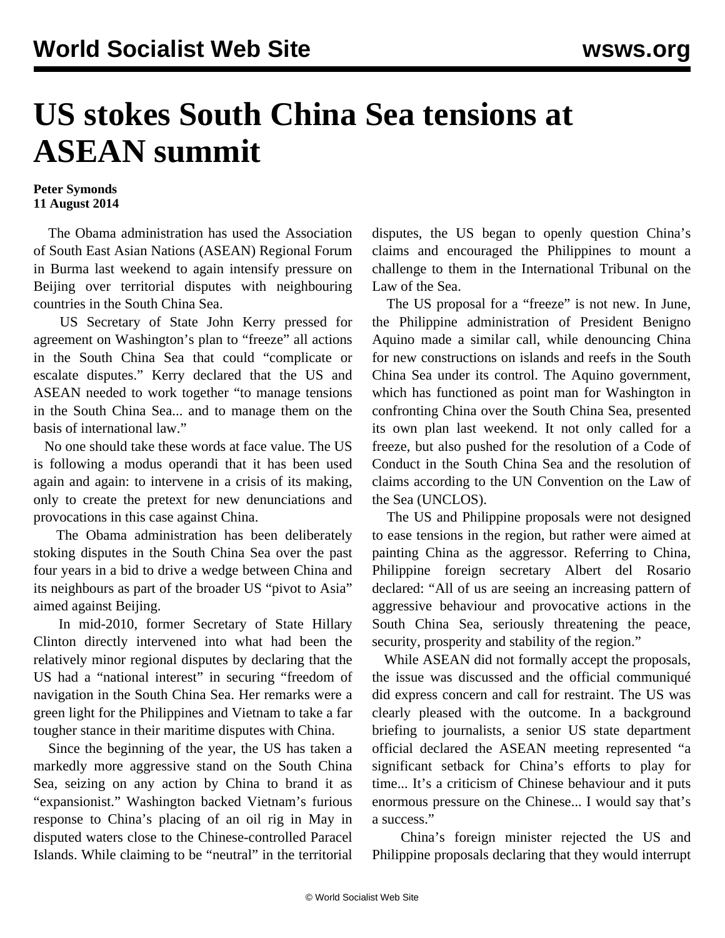## **US stokes South China Sea tensions at ASEAN summit**

## **Peter Symonds 11 August 2014**

 The Obama administration has used the Association of South East Asian Nations (ASEAN) Regional Forum in Burma last weekend to again intensify pressure on Beijing over territorial disputes with neighbouring countries in the South China Sea.

 US Secretary of State John Kerry pressed for agreement on Washington's plan to "freeze" all actions in the South China Sea that could "complicate or escalate disputes." Kerry declared that the US and ASEAN needed to work together "to manage tensions in the South China Sea... and to manage them on the basis of international law."

 No one should take these words at face value. The US is following a modus operandi that it has been used again and again: to intervene in a crisis of its making, only to create the pretext for new denunciations and provocations in this case against China.

 The Obama administration has been deliberately stoking disputes in the South China Sea over the past four years in a bid to drive a wedge between China and its neighbours as part of the broader US "pivot to Asia" aimed against Beijing.

 In mid-2010, former Secretary of State Hillary Clinton directly intervened into what had been the relatively minor regional disputes by declaring that the US had a "national interest" in securing "freedom of navigation in the South China Sea. Her remarks were a green light for the Philippines and Vietnam to take a far tougher stance in their maritime disputes with China.

 Since the beginning of the year, the US has taken a markedly more aggressive stand on the South China Sea, seizing on any action by China to brand it as "expansionist." Washington backed Vietnam's furious response to China's placing of an oil rig in May in disputed waters close to the Chinese-controlled Paracel Islands. While claiming to be "neutral" in the territorial disputes, the US began to openly question China's claims and encouraged the Philippines to mount a challenge to them in the International Tribunal on the Law of the Sea.

 The US proposal for a "freeze" is not new. In June, the Philippine administration of President Benigno Aquino made a similar call, while denouncing China for new constructions on islands and reefs in the South China Sea under its control. The Aquino government, which has functioned as point man for Washington in confronting China over the South China Sea, presented its own plan last weekend. It not only called for a freeze, but also pushed for the resolution of a Code of Conduct in the South China Sea and the resolution of claims according to the UN Convention on the Law of the Sea (UNCLOS).

 The US and Philippine proposals were not designed to ease tensions in the region, but rather were aimed at painting China as the aggressor. Referring to China, Philippine foreign secretary Albert del Rosario declared: "All of us are seeing an increasing pattern of aggressive behaviour and provocative actions in the South China Sea, seriously threatening the peace, security, prosperity and stability of the region."

 While ASEAN did not formally accept the proposals, the issue was discussed and the official communiqué did express concern and call for restraint. The US was clearly pleased with the outcome. In a background briefing to journalists, a senior US state department official declared the ASEAN meeting represented "a significant setback for China's efforts to play for time... It's a criticism of Chinese behaviour and it puts enormous pressure on the Chinese... I would say that's a success."

 China's foreign minister rejected the US and Philippine proposals declaring that they would interrupt